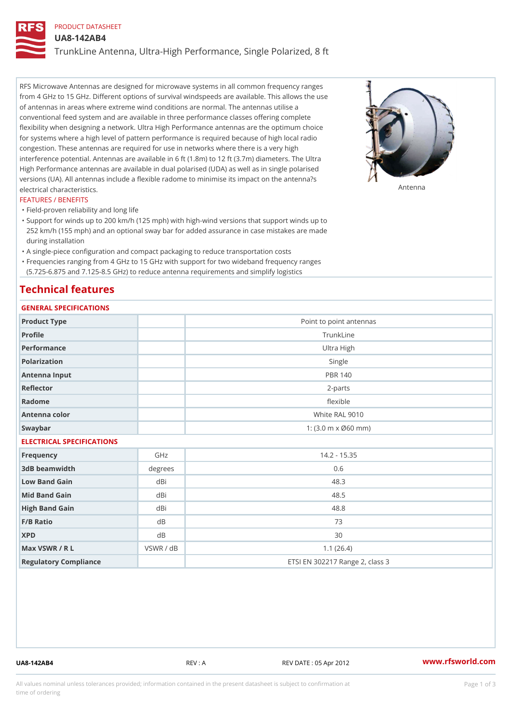## PRODUCT DATASHEET

UA8-142AB4

TrunkLine Antenna, Ultra-High Performance, Single Polarized, 8 ft

RFS Microwave Antennas are designed for microwave systems in all common frequency ranges from 4 GHz to 15 GHz. Different options of survival windspeeds are available. This allows the use of antennas in areas where extreme wind conditions are normal. The antennas utilise a conventional feed system and are available in three performance classes offering complete flexibility when designing a network. Ultra High Performance antennas are the optimum choice for systems where a high level of pattern performance is required because of high local radio congestion. These antennas are required for use in networks where there is a very high interference potential. Antennas are available in 6 ft (1.8m) to 12 ft (3.7m) diameters. The Ultra High Performance antennas are available in dual polarised (UDA) as well as in single polarised versions (UA). All antennas include a flexible radome to minimise its impact on the antenna?s electrical characteristics. Antenna

#### FEATURES / BENEFITS

"Field-proven reliability and long life

- Support for winds up to 200 km/h (125 mph) with high-wind versions that support winds up to " 252 km/h (155 mph) and an optional sway bar for added assurance in case mistakes are made during installation
- "A single-piece configuration and compact packaging to reduce transportation costs
- Frequencies ranging from 4 GHz to 15 GHz with support for two wideband frequency ranges "
- (5.725-6.875 and 7.125-8.5 GHz) to reduce antenna requirements and simplify logistics

# Technical features

# GENERAL SPECIFICATIONS

| GENERAL SELGIFICATIONS    |                |                                 |  |  |
|---------------------------|----------------|---------------------------------|--|--|
| Product Type              |                | Point to point antennas         |  |  |
| Profile                   | TrunkLine      |                                 |  |  |
| Performance               | Ultra High     |                                 |  |  |
| Polarization              |                | Single                          |  |  |
| Antenna Input             | <b>PBR 140</b> |                                 |  |  |
| Reflector                 | $2 - p$ arts   |                                 |  |  |
| Radome                    | flexible       |                                 |  |  |
| Antenna color             |                | White RAL 9010                  |  |  |
| Swaybar                   |                | 1: (3.0 m x Ø60 mm)             |  |  |
| ELECTRICAL SPECIFICATIONS |                |                                 |  |  |
| Frequency                 | GHz            | $14.2 - 15.35$                  |  |  |
| 3dB beamwidth             | degree:        | 0.6                             |  |  |
| Low Band Gain             | dBi            | 48.3                            |  |  |
| Mid Band Gain             | dBi            | 48.5                            |  |  |
| High Band Gain            | dBi            | $48.8$                          |  |  |
| F/B Ratio                 | d B            | 73                              |  |  |
| <b>XPD</b>                | d B            | 30                              |  |  |
| Max VSWR / R L            | VSWR / dB      | 1.1(26.4)                       |  |  |
| Regulatory Compliance     |                | ETSI EN 302217 Range 2, class 3 |  |  |

UA8-142AB4 REV : A REV DATE : 05 Apr 2012 [www.](https://www.rfsworld.com)rfsworld.com

All values nominal unless tolerances provided; information contained in the present datasheet is subject to Pcapgeign mation time of ordering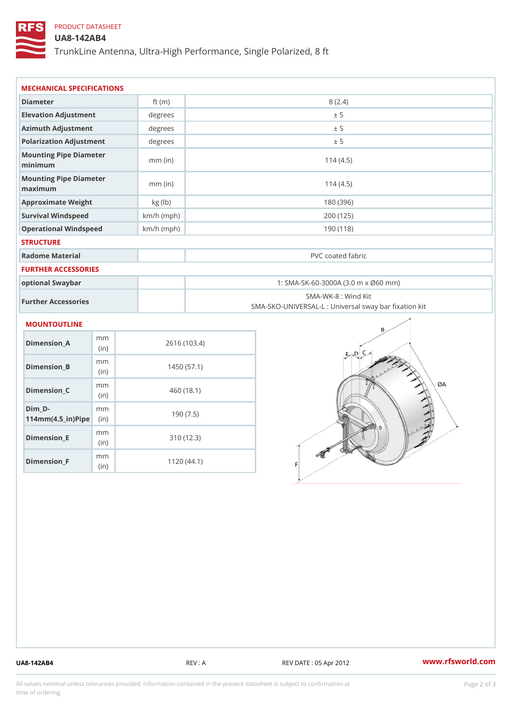# PRODUCT DATASHEET

## UA8-142AB4

TrunkLine Antenna, Ultra-High Performance, Single Polarized, 8 ft

| MECHANICAL SPECIFICATIONS<br>Diameter<br>8(2.4)<br>ft $(m)$<br>Elevation Adjustment<br>degrees<br>± 5<br>Azimuth Adjustment<br>degrees<br>± 5<br>Polarization Adjustment<br>degrees<br>± 5<br>Mounting Pipe Diameter<br>114(4.5)<br>$mm$ (in)<br>minimum<br>Mounting Pipe Diameter<br>$mm$ (in)<br>114(4.5)<br>maximum<br>Approximate Weight<br>kg (lb)<br>180 (396)<br>$km/h$ (mph)<br>Survival Windspeed<br>200 (125) |                                                   |  |  |  |
|-------------------------------------------------------------------------------------------------------------------------------------------------------------------------------------------------------------------------------------------------------------------------------------------------------------------------------------------------------------------------------------------------------------------------|---------------------------------------------------|--|--|--|
|                                                                                                                                                                                                                                                                                                                                                                                                                         |                                                   |  |  |  |
|                                                                                                                                                                                                                                                                                                                                                                                                                         |                                                   |  |  |  |
|                                                                                                                                                                                                                                                                                                                                                                                                                         |                                                   |  |  |  |
|                                                                                                                                                                                                                                                                                                                                                                                                                         |                                                   |  |  |  |
|                                                                                                                                                                                                                                                                                                                                                                                                                         |                                                   |  |  |  |
|                                                                                                                                                                                                                                                                                                                                                                                                                         |                                                   |  |  |  |
|                                                                                                                                                                                                                                                                                                                                                                                                                         |                                                   |  |  |  |
|                                                                                                                                                                                                                                                                                                                                                                                                                         |                                                   |  |  |  |
|                                                                                                                                                                                                                                                                                                                                                                                                                         |                                                   |  |  |  |
| Operational Windspeed<br>$km/h$ (mph)                                                                                                                                                                                                                                                                                                                                                                                   | 190(118)                                          |  |  |  |
| <b>STRUCTURE</b>                                                                                                                                                                                                                                                                                                                                                                                                        |                                                   |  |  |  |
| Radome Material<br>PVC coated fabric                                                                                                                                                                                                                                                                                                                                                                                    |                                                   |  |  |  |
| FURTHER ACCESSORIES                                                                                                                                                                                                                                                                                                                                                                                                     |                                                   |  |  |  |
| 1: SMA-SK-60-3000A (3.0 m x Ø60 mm)<br>optional Swaybar                                                                                                                                                                                                                                                                                                                                                                 |                                                   |  |  |  |
| SMA-WK-8 : Wind Kit<br>Further Accessories                                                                                                                                                                                                                                                                                                                                                                              | SMA-SKO-UNIVERSAL-L : Universal sway bar fixation |  |  |  |
| MOUNTOUTLINE                                                                                                                                                                                                                                                                                                                                                                                                            |                                                   |  |  |  |
| m m<br>$Dimension_A$<br>2616 (103.4)<br>(in)                                                                                                                                                                                                                                                                                                                                                                            |                                                   |  |  |  |
| m m<br>$Dimension_B$<br>1450(57.1)<br>(in)                                                                                                                                                                                                                                                                                                                                                                              |                                                   |  |  |  |
| m m<br>Dimension_C<br>460(18.1)<br>(in)                                                                                                                                                                                                                                                                                                                                                                                 |                                                   |  |  |  |
| $Dim_D - D -$<br>m m<br>190(7.5)<br>$114$ m m (4.5 _ ir ) $\sqrt{$ imp $\approx$                                                                                                                                                                                                                                                                                                                                        |                                                   |  |  |  |

Dimension\_E

Dimension\_F

mm (in)

m<sub>m</sub> (in)

310 (12.3)

1120 (44.1)

UA8-142AB4 REV : A REV DATE : 05 Apr 2012 [www.](https://www.rfsworld.com)rfsworld.com